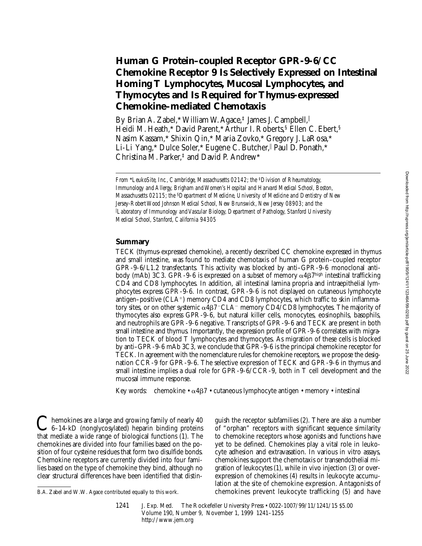# **Human G Protein–coupled Receptor GPR-9-6/CC Chemokine Receptor 9 Is Selectively Expressed on Intestinal Homing T Lymphocytes, Mucosal Lymphocytes, and Thymocytes and Is Required for Thymus-expressed Chemokine–mediated Chemotaxis**

By Brian A. Zabel, \* William W. Agace,  $\frac{1}{4}$  James J. Campbell,  $\parallel$ Heidi M. Heath,\* David Parent,\* Arthur I. Roberts,§ Ellen C. Ebert,§ Nasim Kassam,\* Shixin Qin,\* Maria Zovko,\* Gregory J. LaRosa,\* Li-Li Yang,\* Dulce Soler,\* Eugene C. Butcher,|| Paul D. Ponath,\* Christina M. Parker,‡ and David P. Andrew\*

*From \*LeukoSite, Inc., Cambridge, Massachusetts 02142; the <sup>‡</sup><i>Division of Rheumatology, Immunology and Allergy, Brigham and Women's Hospital and Harvard Medical School, Boston, Massachusetts 02115; the* §*Department of Medicine, University of Medicine and Dentistry of New Jersey-Robert Wood Johnson Medical School, New Brunswick, New Jersey 08903; and the*  i *Laboratory of Immunology and Vascular Biology, Department of Pathology, Stanford University Medical School, Stanford, California 94305*

## **Summary**

TECK (thymus-expressed chemokine), a recently described CC chemokine expressed in thymus and small intestine, was found to mediate chemotaxis of human G protein–coupled receptor GPR-9-6/L1.2 transfectants. This activity was blocked by anti–GPR-9-6 monoclonal antibody (mAb) 3C3. GPR-9-6 is expressed on a subset of memory  $\alpha$ 4 $\beta$ 7high intestinal trafficking CD4 and CD8 lymphocytes. In addition, all intestinal lamina propria and intraepithelial lymphocytes express GPR-9-6. In contrast, GPR-9-6 is not displayed on cutaneous lymphocyte antigen–positive  $(CLA^+)$  memory  $CD4$  and  $CD8$  lymphocytes, which traffic to skin inflammatory sites, or on other systemic  $\alpha$ 4 $\beta$ 7<sup>-</sup>CLA<sup>-</sup> memory CD4/CD8 lymphocytes. The majority of thymocytes also express GPR-9-6, but natural killer cells, monocytes, eosinophils, basophils, and neutrophils are GPR-9-6 negative. Transcripts of GPR-9-6 and TECK are present in both small intestine and thymus. Importantly, the expression profile of GPR-9-6 correlates with migration to TECK of blood T lymphocytes and thymocytes. As migration of these cells is blocked by anti–GPR-9-6 mAb 3C3, we conclude that GPR-9-6 is the principal chemokine receptor for TECK. In agreement with the nomenclature rules for chemokine receptors, we propose the designation CCR-9 for GPR-9-6. The selective expression of TECK and GPR-9-6 in thymus and small intestine implies a dual role for GPR-9-6/CCR-9, both in T cell development and the mucosal immune response.

Key words: chemokine •  $\alpha$ 4 $\beta$ 7 • cutaneous lymphocyte antigen • memory • intestinal

 $\mathbf{\Sigma}$  hemokines are a large and growing family of nearly 40 6–14-kD (nonglycosylated) heparin binding proteins that mediate a wide range of biological functions (1). The chemokines are divided into four families based on the position of four cysteine residues that form two disulfide bonds. Chemokine receptors are currently divided into four families based on the type of chemokine they bind, although no clear structural differences have been identified that distin-

guish the receptor subfamilies (2). There are also a number of "orphan" receptors with significant sequence similarity to chemokine receptors whose agonists and functions have yet to be defined. Chemokines play a vital role in leukocyte adhesion and extravasation. In various in vitro assays, chemokines support the chemotaxis or transendothelial migration of leukocytes (1), while in vivo injection (3) or overexpression of chemokines (4) results in leukocyte accumulation at the site of chemokine expression. Antagonists of B.A. Zabel and W.W. Agace contributed equally to this work. chemokines prevent leukocyte trafficking (5) and have

<sup>1241</sup> J. Exp. Med. The Rockefeller University Press • 0022-1007/99/11/1241/15 \$5.00 Volume 190, Number 9, November 1, 1999 1241–1255 http://www.jem.org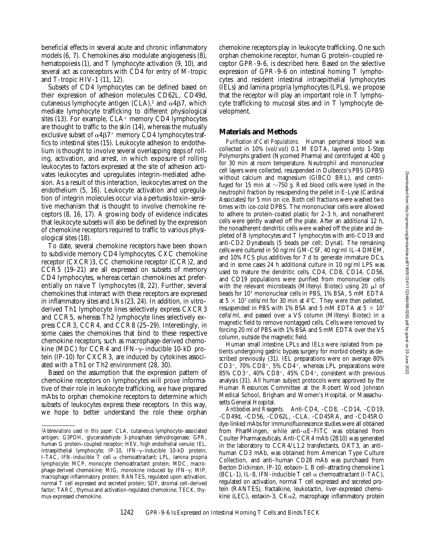beneficial effects in several acute and chronic inflammatory models (6, 7). Chemokines also modulate angiogenesis (8), hematopoiesis (1), and T lymphocyte activation (9, 10), and several act as coreceptors with CD4 for entry of M-tropic and T-tropic HIV-1 (11, 12).

Subsets of CD4 lymphocytes can be defined based on their expression of adhesion molecules CD62L, CD49d, cutaneous lymphocyte antigen  $(CLA)$ ,<sup>1</sup> and  $\alpha$ 4 $\beta$ 7, which mediate lymphocyte trafficking to different physiological sites  $(13)$ . For example,  $CLA<sup>+</sup>$  memory CD4 lymphocytes are thought to traffic to the skin (14), whereas the mutually exclusive subset of  $\alpha$ 4 $\beta$ 7<sup>+</sup> memory CD4 lymphocytes traffics to intestinal sites (15). Leukocyte adhesion to endothelium is thought to involve several overlapping steps of rolling, activation, and arrest, in which exposure of rolling leukocytes to factors expressed at the site of adhesion activates leukocytes and upregulates integrin-mediated adhesion. As a result of this interaction, leukocytes arrest on the endothelium (5, 16). Leukocyte activation and upregulation of integrin molecules occur via a pertussis toxin–sensitive mechanism that is thought to involve chemokine receptors (8, 16, 17). A growing body of evidence indicates that leukocyte subsets will also be defined by the expression of chemokine receptors required to traffic to various physiological sites (18).

To date, several chemokine receptors have been shown to subdivide memory CD4 lymphocytes. CXC chemokine receptor (CXCR)3, CC chemokine receptor (CCR)2, and CCR5 (19–21) are all expressed on subsets of memory CD4 lymphocytes, whereas certain chemokines act preferentially on naive T lymphocytes (8, 22). Further, several chemokines that interact with these receptors are expressed in inflammatory sites and LNs (23, 24). In addition, in vitro– derived Th1 lymphocyte lines selectively express CXCR3 and CCR5, whereas Th2 lymphocyte lines selectively express CCR3, CCR4, and CCR8 (25–29). Interestingly, in some cases the chemokines that bind to these respective chemokine receptors, such as macrophage-derived chemokine (MDC) for CCR4 and IFN- $\gamma$ –inducible 10-kD protein (IP-10) for CXCR3, are induced by cytokines associated with a Th1 or Th2 environment (28, 30).

Based on the assumption that the expression pattern of chemokine receptors on lymphocytes will prove informative of their role in leukocyte trafficking, we have prepared mAbs to orphan chemokine receptors to determine which subsets of leukocytes express these receptors. In this way, we hope to better understand the role these orphan chemokine receptors play in leukocyte trafficking. One such orphan chemokine receptor, human G protein–coupled receptor GPR-9-6, is described here. Based on the selective expression of GPR-9-6 on intestinal homing T lymphocytes and resident intestinal intraepithelial lymphocytes (IELs) and lamina propria lymphocytes (LPLs), we propose that the receptor will play an important role in T lymphocyte trafficking to mucosal sites and in T lymphocyte development.

## **Materials and Methods**

*Purification of Cell Populations.* Human peripheral blood was collected in 10% (vol/vol) 0.1 M EDTA, layered onto 1-Step Polymorphs gradient (Nycomed Pharma) and centrifuged at 400 *g* for 30 min at room temperature. Neutrophil and mononuclear cell layers were collected, resuspended in Dulbecco's PBS (DPBS) without calcium and magnesium (GIBCO BRL), and centrifuged for 15 min at  $\sim$ 750 *g*. Red blood cells were lysed in the neutrophil fraction by resuspending the pellet in E-Lyse (Cardinal Associates) for 5 min on ice. Both cell fractions were washed two times with ice-cold DPBS. The mononuclear cells were allowed to adhere to protein-coated plastic for 2–3 h, and nonadherent cells were gently washed off the plate. After an additional 12 h, the nonadherent dendritic cells were washed off the plate and depleted of B lymphocytes and T lymphocytes with anti-CD19 and anti-CD2 Dynabeads (5 beads per cell; Dynal). The remaining cells were cultured in 50 ng/ml GM-CSF, 40 ng/ml IL-4 DMEM, and 10% FCS plus additives for 7 d to generate immature DCs, and in some cases 24 h additional culture in 10 ng/ml LPS was used to mature the dendritic cells. CD4, CD8, CD14, CD56, and CD19 populations were purified from mononuclear cells with the relevant microbeads (Miltenyi Biotec) using 20  $\mu$ l of beads for 107 mononuclear cells in PBS, 1% BSA, 5 mM EDTA at  $5 \times 10^7$  cells/ml for 30 min at 4°C. They were then pelleted, resuspended in PBS with 1% BSA and 5 mM EDTA at  $5 \times 10^7$ cells/ml, and passed over a VS column (Miltenyi Biotec) in a magnetic field to remove nontagged cells. Cells were removed by forcing 20 ml of PBS with 1% BSA and 5 mM EDTA over the VS column, outside the magnetic field.

Human small intestine LPLs and IELs were isolated from patients undergoing gastric bypass surgery for morbid obesity as described previously (31). IEL preparations were on average 80%  $CD3^+$ , 70%  $CD8^+$ , 5%  $CD4^+$ , whereas LPL preparations were 85% CD3<sup>+</sup>, 40% CD8<sup>+</sup>, 45% CD4<sup>+</sup>, consistent with previous analysis (31). All human subject protocols were approved by the Human Resources Committee at the Robert Wood Johnson Medical School, Brigham and Women's Hospital, or Massachusetts General Hospital.

*Antibodies and Reagents.* Anti-CD4, -CD8, -CD14, -CD19, -CD49d, -CD56, -CD62L, -CLA, -CD45RA, and -CD45RO dye-linked mAbs for immunofluorescence studies were all obtained from PharMingen, while anti- $\alpha$ E–FITC was obtained from Coulter Pharmaceuticals. Anti-CCR4 mAb (2B10) was generated in the laboratory to CCR4/L1.2 transfectants. OKT3, an anti– human CD3 mAb, was obtained from American Type Culture Collection, and anti–human CD28 mAb was purchased from Becton Dickinson. IP-10, eotaxin-1, B cell–attracting chemokine 1 (BCL-1), IL-8, IFN-inducible T cell  $\alpha$  chemoattractant (I-TAC), regulated on activation, normal T cell expressed and secreted protein (RANTES), fractalkine, leukotactin, liver-expressed chemokine (LEC), eotaxin-3,  $CK\alpha$ 2, macrophage inflammatory protein

<sup>1</sup>*Abbreviations used in this paper:* CLA, cutaneous lymphocyte–associated antigen; G3PDH, glyceraldehyde 3-phosphate dehydrogenase; GPR, human G protein–coupled receptor; HEV, high endothelial venule; IEL, intraepithelial lymphocyte; IP-10, IFN-g–inducible 10-kD protein; I-TAC, IFN-inducible T cell  $\alpha$  chemoattractant; LPL, lamina propria lymphocyte; MCP, monocyte chemoattractant protein; MDC, macrophage-derived chemokine; MIG, monokine induced by IFN-g; MIP, macrophage inflammatory protein; RANTES, regulated upon activation, normal T cell expressed and secreted protein; SDF, stromal cell–derived factor; TARC, thymus and activation-regulated chemokine; TECK, thymus-expressed chemokine.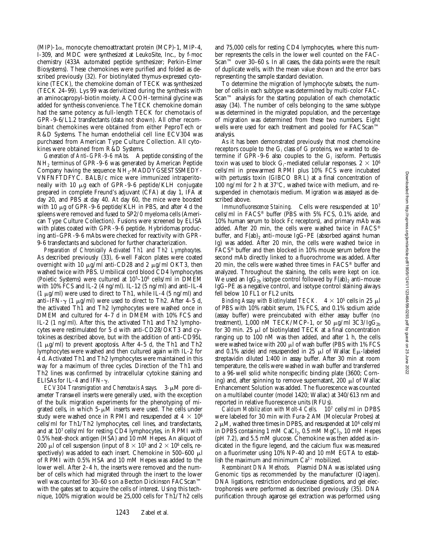$(MIP)$ -1 $\alpha$ , monocyte chemoattractant protein  $(MCP)$ -1, MIP-4, I-309, and MDC were synthesized at LeukoSite, Inc., by f-moc chemistry (433A automated peptide synthesizer; Perkin-Elmer Biosystems). These chemokines were purified and folded as described previously (32). For biotinylated thymus-expressed cytokine (TECK), the chemokine domain of TECK was synthesized (TECK 24–99). Lys 99 was derivitized during the synthesis with an aminocapropyl-biotin moiety. A COOH-terminal glycine was added for synthesis convenience. The TECK chemokine domain had the same potency as full-length TECK for chemotaxis of GPR-9-6/L1.2 transfectants (data not shown). All other recombinant chemokines were obtained from either PeproTech or R&D Systems. The human endothelial cell line ECV304 was purchased from American Type Culture Collection. All cytokines were obtained from R&D Systems.

*Generation of Anti–GPR-9-6 mAbs.* A peptide consisting of the NH2 terminus of GPR-9-6 was generated by American Peptide Company having the sequence  $NH_2$ -MADDYGSESTSSMEDY-VNFNFTDFYC. BALB/c mice were immunized intraperitoneally with 10 mg each of GPR-9-6 peptide/KLH conjugate prepared in complete Freund's adjuvant (CFA) at day 1, IFA at day 20, and PBS at day 40. At day 60, the mice were boosted with 10  $\mu$ g of GPR-9-6 peptide/KLH in PBS, and after 4 d the spleens were removed and fused to SP2/0 myeloma cells (American Type Culture Collection). Fusions were screened by ELISA with plates coated with GPR-9-6 peptide. Hybridomas producing anti–GPR-9-6 mAbs were checked for reactivity with GPR-9-6 transfectants and subcloned for further characterization.

*Preparation of Chronically Activated Th1 and Th2 Lymphocytes.* As described previously (33), 6-well Falcon plates were coated overnight with 10  $\mu$ g/ml anti-CD28 and 2  $\mu$ g/ml OKT3, then washed twice with PBS. Umbilical cord blood CD4 lymphocytes (Poietic Systems) were cultured at 105–106 cells/ml in DMEM with 10% FCS and IL-2 (4 ng/ml). IL-12 (5 ng/ml) and anti–IL-4 (1  $\mu$ g/ml) were used to direct to Th1, while IL-4 (5 ng/ml) and anti–IFN- $\gamma$  (1 µg/ml) were used to direct to Th2. After 4–5 d, the activated Th1 and Th2 lymphocytes were washed once in DMEM and cultured for 4–7 d in DMEM with 10% FCS and IL-2 (1 ng/ml). After this, the activated Th1 and Th2 lymphocytes were restimulated for 5 d with anti-CD28/OKT3 and cytokines as described above, but with the addition of anti-CD95L (1  $\mu$ g/ml) to prevent apoptosis. After 4–5 d, the Th1 and Th2 lymphocytes were washed and then cultured again with IL-2 for 4 d. Activated Th1 and Th2 lymphocytes were maintained in this way for a maximum of three cycles. Direction of the Th1 and Th2 lines was confirmed by intracellular cytokine staining and ELISAs for IL-4 and IFN- $\gamma$ .

*ECV304 Transmigration and Chemotaxis Assays.* 3- $\mu$ M pore diameter Transwell inserts were generally used, with the exception of the bulk migration experiments for the phenotyping of migrated cells, in which  $5-\mu M$  inserts were used. The cells under study were washed once in RPMI and resuspended at  $4 \times 10^6$ cells/ml for Th1/Th2 lymphocytes, cell lines, and transfectants, and at 107 cells/ml for resting CD4 lymphocytes, in RPMI with 0.5% heat-shock antigen (HSA) and 10 mM Hepes. An aliquot of 200 µl of cell suspension (input of  $8 \times 10^5$  and  $2 \times 10^6$  cells, respectively) was added to each insert. Chemokine in  $500-600$   $\mu$ l of RPMI with 0.5% HSA and 10 mM Hepes was added to the lower well. After 2–4 h, the inserts were removed and the number of cells which had migrated through the insert to the lower well was counted for 30–60 s on a Becton Dickinson FACScan™ with the gates set to acquire the cells of interest. Using this technique, 100% migration would be 25,000 cells for Th1/Th2 cells

and 75,000 cells for resting CD4 lymphocytes, where this number represents the cells in the lower well counted on the FAC-Scan™ over 30–60 s. In all cases, the data points were the result of duplicate wells, with the mean value shown and the error bars representing the sample standard deviation.

To determine the migration of lymphocyte subsets, the number of cells in each subtype was determined by multi-color FAC-Scan™ analysis for the starting population of each chemotactic assay (34). The number of cells belonging to the same subtype was determined in the migrated population, and the percentage of migration was determined from these two numbers. Eight wells were used for each treatment and pooled for FACScan™ analysis.

As it has been demonstrated previously that most chemokine receptors couple to the  $\mathrm{G}_\mathrm{i}$  class of  $\mathrm{G}% _{0}$  proteins, we wanted to determine if GPR-9-6 also couples to the  $G_i$  isoform. Pertussis toxin was used to block  $\mathrm{G}_\mathrm{i}\text{-mediated cellular responses.}$  2  $\times$   $10^6$ cells/ml in prewarmed RPMI plus 10% FCS were incubated with pertussis toxin (GIBCO BRL) at a final concentration of 100 ng/ml for 2 h at  $37^{\circ}$ C, washed twice with medium, and resuspended in chemotaxis medium. Migration was assayed as described above.

*Immunofluorescence Staining.* Cells were resuspended at 107 cells/ml in FACS® buffer (PBS with 5% FCS, 0.1% azide, and 10% human serum to block Fc receptors), and primary mAb was added. After 20 min, the cells were washed twice in FACS® buffer, and  $F(ab)_2$  anti–mouse IgG–PE (absorbed against human Ig) was added. After 20 min, the cells were washed twice in FACS® buffer and then blocked in 10% mouse serum before the second mAb directly linked to a fluorochrome was added. After 20 min, the cells were washed three times in FACS® buffer and analyzed. Throughout the staining, the cells were kept on ice. We used an Ig $G_{2b}$  isotype control followed by  $F(ab)_2$  anti–mouse IgG–PE as a negative control, and isotype control staining always fell below 10 FL1 or FL2 units.

*Binding Assay with Biotinylated TECK.*  $4 \times 10^5$  cells in 25  $\mu$ l of PBS with 10% rabbit serum, 1% FCS, and 0.1% sodium azide (assay buffer) were preincubated with either assay buffer (no treatment), 1,000 nM TECK/MCP-1, or 50  $\mu$ g/ml 3C3/IgG<sub>2b</sub> for 30 min. 25  $\mu$ l of biotinylated TECK at a final concentration ranging up to 100 nM was then added, and after 1 h, the cells were washed twice with 200  $\mu$ l of wash buffer (PBS with 1% FCS and 0.1% azide) and resuspended in 25  $\mu$ l of Wallac E $\mu$ -labeled streptavidin diluted 1:400 in assay buffer. After 30 min at room temperature, the cells were washed in wash buffer and transferred to a 96-well solid white nonspecific binding plate (3600; Corning) and, after spinning to remove supernatant, 200  $\mu$ l of Wallac Enhancement Solution was added. The fluorescence was counted on a multilabel counter (model 1420; Wallac) at 340/613 nm and reported in relative fluorescence units (RFUs).

*Calcium Mobilization with Molt-4 Cells.* 107 cells/ml in DPBS were labeled for 30 min with Fura-2 AM (Molecular Probes) at 2  $\mu$ M, washed three times in DPBS, and resuspended at 10<sup>6</sup> cells/ml in DPBS containing  $1 \text{ mM }$  CaCl<sub>2</sub>,  $0.5 \text{ mM }$  MgCl<sub>2</sub>,  $10 \text{ mM }$  Hepes (pH 7.2), and 5.5 mM glucose. Chemokine was then added as indicated in the figure legend, and the calcium flux was measured on a fluorimeter using 10% NP-40 and 10 mM EGTA to establish the maximum and minimum  $Ca^{2+}$  mobilized.

*Recombinant DNA Methods.* Plasmid DNA was isolated using Genomic tips as recommended by the manufacturer (Qiagen). DNA ligations, restriction endonuclease digestions, and gel electrophoresis were performed as described previously (35). DNA purification through agarose gel extraction was performed using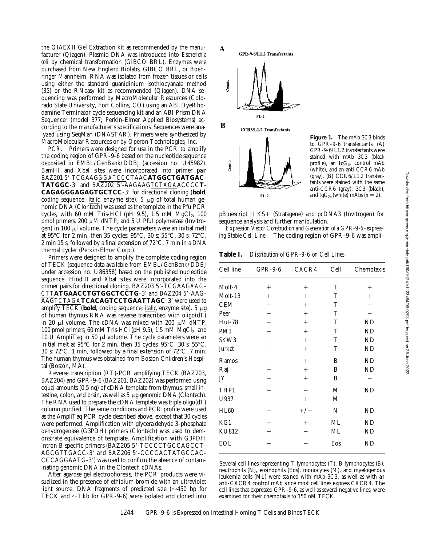the QIAEXII Gel Extraction kit as recommended by the manufacturer (Qiagen). Plasmid DNA was introduced into *Escherichia coli* by chemical transformation (GIBCO BRL). Enzymes were purchased from New England Biolabs, GIBCO BRL, or Boehringer Mannheim. RNA was isolated from frozen tissues or cells using either the standard guanidinium isothiocyanate method (35) or the RNeasy kit as recommended (Qiagen). DNA sequencing was performed by MacroMolecular Resources (Colorado State University, Fort Collins, CO) using an ABI DyeRhodamine Terminator cycle sequencing kit and an ABI Prism DNA Sequencer (model 377; Perkin-Elmer Applied Biosystems) according to the manufacturer's specifications. Sequences were analyzed using SeqMan (DNASTAR). Primers were synthesized by MacroMolecular Resources or by Operon Technologies, Inc.

*PCR.* Primers were designed for use in the PCR to amplify the coding region of GPR-9-6 based on the nucleotide sequence deposited in EMBL/GenBank/DDBJ (accession no. U45982). BamHI and XbaI sites were incorporated into primer pair BAZ201 59-TCGAAG*GGATCC*CTAAC**ATGGCTGATGAC**-TATGGC-3' and BAZ202 5'-AAGAAGTCTAGAACCCCT-CAGAGGGAGAGTGCTCC-3' for directional cloning (bold, coding sequence; *italic*, enzyme site). 5 μg of total human genomic DNA (Clontech) was used as the template in the Pfu PCR cycles, with 60 mM Tris-HCl (pH 9.5), 1.5 mM  $MgCl<sub>2</sub>$ , 100 pmol primers, 200  $\mu$ M dNTP, and 5 U PfuI polymerase (Invitrogen) in 100  $\mu$ l volume. The cycle parameters were an initial melt at 95°C for 2 min, then 35 cycles:  $95^{\circ}$ C, 30 s; 55°C, 30 s; 72°C, 2 min 15 s, followed by a final extension of  $72^{\circ}$ C, 7 min in a DNA thermal cycler (Perkin-Elmer Corp.).

Primers were designed to amplify the complete coding region of TECK (sequence data available from EMBL/GenBank/DDBJ under accession no. U86358) based on the published nucleotide sequence. HindIII and XbaI sites were incorporated into the primer pairs for directional cloning. BAZ203 5'-TCGAAGAAG-CTTATGAACCTGTGGCTCCTG-3' and BAZ204 5'-AAG-AAG*TCTAGA***TCACAGTCCTGAATTAGC**-3' were used to amplify TECK (bold, coding sequence; *italic*, enzyme site). 5 µg of human thymus RNA was reverse transcribed with oligo(dT) in 20  $\mu$ l volume. The cDNA was mixed with 200  $\mu$ M dNTP, 100 pmol primers, 60 mM Tris-HCl (pH 9.5), 1.5 mM  $MgCl<sub>2</sub>$ , and 10 U AmpliTaq in 50  $\mu$ l volume. The cycle parameters were an initial melt at  $95^{\circ}$ C for 2 min, then 35 cycles:  $95^{\circ}$ C, 30 s;  $55^{\circ}$ C, 30 s; 72 $\rm{°C}$ , 1 min, followed by a final extension of 72 $\rm{°C}$ , 7 min. The human thymus was obtained from Boston Children's Hospital (Boston, MA).

Reverse transcription (RT)-PCR amplifying TECK (BAZ203, BAZ204) and GPR-9-6 (BAZ201, BAZ202) was performed using equal amounts (0.5 ng) of cDNA template from thymus, small intestine, colon, and brain, as well as  $5 \mu$ g genomic DNA (Clontech). The RNA used to prepare the cDNA template was triple oligo(dT) column purified. The same conditions and PCR profile were used as the AmpliTaq PCR cycle described above, except that 30 cycles were performed. Amplification with glyceraldehyde 3-phosphate dehydrogenase (G3PDH) primers (Clontech) was used to demonstrate equivalence of template. Amplification with G3PDH intron B specific primers (BAZ205 5'-TCCCCTGCCAGCCT-AGCGTTGACC-3' and BAZ206 5'-CCCCACTATGCCAC-CCCAGGAATG-3') was used to confirm the absence of contaminating genomic DNA in the Clontech cDNAs.

After agarose gel electrophoresis, the PCR products were visualized in the presence of ethidium bromide with an ultraviolet light source. DNA fragments of predicted size  $(\sim 450$  bp for TECK and  $\sim$ 1 kb for GPR-9-6) were isolated and cloned into



**Figure 1.** The mAb 3C3 binds to GPR-9-6 transfectants. (A) GPR-9-6/L1.2 transfectants were stained with mAb 3C3 (black profile), an  $IgG_{2b}$  control mAb (white), and an anti-CCR6 mAb (gray). (B) CCR6/L1.2 transfectants were stained with the same anti-CCR6 (gray), 3C3 (black), and Ig $G_{2b}$  (white) mAbs  $(n = 2)$ .

pBluescript II  $KS+$  (Stratagene) and pcDNA3 (Invitrogen) for sequence analysis and further manipulation.

*Expression Vector Construction and Generation of a GPR-9-6–expressing Stable Cell Line.* The coding region of GPR-9-6 was ampli-

**Table I.** *Distribution of GPR-9-6 on Cell Lines*

| Cell line     | $GPR-9-6$ | CXCR4  | Cell | Chemotaxis |
|---------------|-----------|--------|------|------------|
| Molt-4        | $^{+}$    | $^{+}$ | T    | $^+$       |
| Molt-13       | $^{+}$    | $^+$   | T    | $^+$       |
| <b>CEM</b>    |           | $^{+}$ | T    |            |
| Peer          |           | $^{+}$ | T    |            |
| <b>Hut-78</b> |           | $^{+}$ | T    | ND         |
| PM1           |           | $^{+}$ | T    | ND         |
| SKW3          |           | $^{+}$ | T    | ND         |
| Jurkat        |           | $^{+}$ | T    | ND         |
| Ramos         |           | $^{+}$ | B    | ND         |
| Raji          |           | $^{+}$ | B    | ND         |
| JY            |           | $+$    | B    |            |
| THP1          |           |        | М    | ND         |
| U937          |           | $^{+}$ | М    |            |
| <b>HL60</b>   |           | $+/-$  | N    | ND         |
| KG1           |           | $^{+}$ | ML   | ND         |
| <b>KU812</b>  |           |        | ML   | ND         |
| <b>EOL</b>    |           |        | Eos  | ND         |

Several cell lines representing T lymphocytes (T), B lymphocytes (B), neutrophils (N), eosinophils (Eos), monocytes (M), and myelogenous leukemia cells (ML) were stained with mAb 3C3, as well as with an anti-CXCR4 control mAb since most cell lines express CXCR4. The cell lines that expressed GPR-9-6, as well as several negative lines, were examined for their chemotaxis to 150 nM TECK.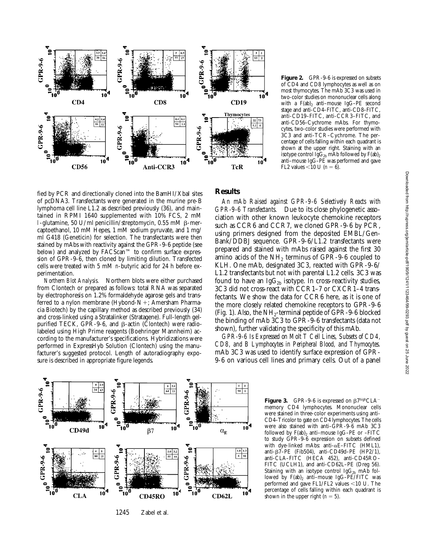

Figure 2. GPR-9-6 is expressed on subsets of CD4 and CD8 lymphocytes as well as on most thymocytes. The mAb 3C3 was used in two-color studies on mononuclear cells along with a  $F(ab)$ , anti-mouse IgG-PE second stage and anti-CD4–FITC, anti-CD8–FITC, anti-CD19–FITC, anti-CCR3–FITC, and anti-CD56–Cychrome mAbs. For thymocytes, two-color studies were performed with 3C3 and anti-TCR–Cychrome. The percentage of cells falling within each quadrant is shown at the upper right. Staining with an isotype control  $Ig\tilde{G}_{2h}$  mAb followed by  $F(ab)_{2h}$ anti–mouse IgG–PE was performed and gave FL2 values  $< 10 \text{ U } (n = 6)$ .

fied by PCR and directionally cloned into the BamHI/XbaI sites of pcDNA3. Transfectants were generated in the murine pre-B lymphoma cell line L1.2 as described previously (36), and maintained in RPMI 1640 supplemented with 10% FCS, 2 mM l-glutamine, 50 U/ml penicillin/streptomycin, 0.55 mM  $\beta$ -mercaptoethanol, 10 mM Hepes, 1 mM sodium pyruvate, and 1 mg/ ml G418 (Geneticin) for selection. The transfectants were then stained by mAbs with reactivity against the GPR-9-6 peptide (see below) and analyzed by FACScan™ to confirm surface expression of GPR-9-6, then cloned by limiting dilution. Transfected cells were treated with 5 mM *n*-butyric acid for 24 h before experimentation.

*Northern Blot Analysis.* Northern blots were either purchased from Clontech or prepared as follows: total RNA was separated by electrophoresis on 1.2% formaldehyde agarose gels and transferred to a nylon membrane (Hybond- $N+$ ; Amersham Pharmacia Biotech) by the capillary method as described previously (34) and cross-linked using a Stratalinker (Stratagene). Full-length gelpurified TECK, GPR-9-6, and  $\beta$ -actin (Clontech) were radiolabeled using High Prime reagents (Boehringer Mannheim) according to the manufacturer's specifications. Hybridizations were performed in ExpressHyb Solution (Clontech) using the manufacturer's suggested protocol. Length of autoradiography exposure is described in appropriate figure legends.

## **Results**

*An mAb Raised against GPR-9-6 Selectively Reacts with GPR-9-6 Transfectants.* Due to its close phylogenetic association with other known leukocyte chemokine receptors such as CCR6 and CCR7, we cloned GPR-9-6 by PCR, using primers designed from the deposited EMBL/Gen-Bank/DDBJ sequence. GPR-9-6/L1.2 transfectants were prepared and stained with mAbs raised against the first 30 amino acids of the  $NH<sub>2</sub>$  terminus of GPR-9-6 coupled to KLH. One mAb, designated 3C3, reacted with GPR-9-6/ L1.2 transfectants but not with parental L1.2 cells. 3C3 was found to have an Ig $G_{2b}$  isotype. In cross-reactivity studies, 3C3 did not cross-react with CCR1–7 or CXCR1–4 transfectants. We show the data for CCR6 here, as it is one of the more closely related chemokine receptors to GPR-9-6 (Fig. 1). Also, the  $NH<sub>2</sub>$ -terminal peptide of GPR-9-6 blocked the binding of mAb 3C3 to GPR-9-6 transfectants (data not shown), further validating the specificity of this mAb.

*GPR-9-6 Is Expressed on Molt T Cell Lines, Subsets of CD4, CD8, and B Lymphocytes in Peripheral Blood, and Thymocytes.* mAb 3C3 was used to identify surface expression of GPR-9-6 on various cell lines and primary cells. Out of a panel



**Figure 3.** GPR-9-6 is expressed on  $\beta$ 7highCLA<sup>-1</sup> memory CD4 lymphocytes. Mononuclear cells were stained in three-color experiments using anti-CD4–Tricolor to gate on CD4 lymphocytes. The cells were also stained with anti–GPR-9-6 mAb 3C3 followed by  $F(ab)_2$  anti-mouse IgG-PE or -FITC to study GPR-9-6 expression on subsets defined with dye-linked mAbs: anti- $\alpha$ E–FITC (HML1), anti- $\beta$ 7–PE (Fib504), anti-CD49d–PE (HP2/1), anti-CLA–FITC (HECA 452), anti-CD45RO– FITC (UCLH1), and anti-CD62L-PE (Dreg 56). Staining with an isotype control Ig $G_{2b}$  mAb followed by  $F(ab)_2$  anti-mouse IgG-PE/FITC was performed and gave FL1/FL2 values  $<$ 10 U. The percentage of cells falling within each quadrant is shown in the upper right  $(n = 5)$ .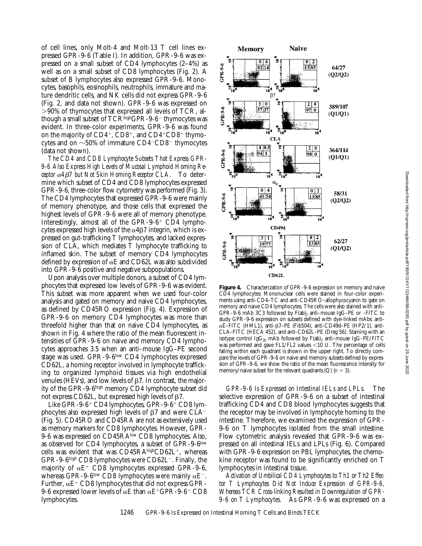of cell lines, only Molt-4 and Molt-13 T cell lines expressed GPR-9-6 (Table I). In addition, GPR-9-6 was expressed on a small subset of CD4 lymphocytes (2–4%) as well as on a small subset of CD8 lymphocytes (Fig. 2). A subset of B lymphocytes also expressed GPR-9-6. Monocytes, basophils, eosinophils, neutrophils, immature and mature dendritic cells, and NK cells did not express GPR-9-6 (Fig. 2, and data not shown). GPR-9-6 was expressed on  $>90\%$  of thymocytes that expressed all levels of TCR, although a small subset of  $TCR<sup>high</sup>GPR-9-6$ <sup>-</sup> thymocytes was evident. In three-color experiments, GPR-9-6 was found on the majority of  $CD4^+$ ,  $CD8^+$ , and  $CD4^+CD8^+$  thymocytes and on  $\sim$  50% of immature CD4<sup>-</sup>CD8<sup>-</sup> thymocytes (data not shown).

*The CD4 and CD8 Lymphocyte Subsets That Express GPR-9-6 Also Express High Levels of Mucosal Lymphoid Homing Receptor* a*4*b*7 but Not Skin Homing Receptor CLA.* To determine which subset of CD4 and CD8 lymphocytes expressed GPR-9-6, three-color flow cytometry was performed (Fig. 3). The CD4 lymphocytes that expressed GPR-9-6 were mainly of memory phenotype, and those cells that expressed the highest levels of GPR-9-6 were all of memory phenotype. Interestingly, almost all of the GPR-9-6<sup>+</sup> CD4 lymphocytes expressed high levels of the  $\alpha$ 4 $\beta$ 7 integrin, which is expressed on gut-trafficking T lymphocytes, and lacked expression of CLA, which mediates T lymphocyte trafficking to inflamed skin. The subset of memory CD4 lymphocytes defined by expression of  $\alpha$ E and CD62L was also subdivided into GPR-9-6 positive and negative subpopulations.

Upon analysis over multiple donors, a subset of CD4 lymphocytes that expressed low levels of GPR-9-6 was evident. This subset was more apparent when we used four-color analysis and gated on memory and naive CD4 lymphocytes, as defined by CD45RO expression (Fig. 4). Expression of GPR-9-6 on memory CD4 lymphocytes was more than threefold higher than that on naive CD4 lymphocytes, as shown in Fig. 4 where the ratio of the mean fluorescent intensities of GPR-9-6 on naive and memory CD4 lymphocytes approaches 3.5 when an anti–mouse IgG–PE second stage was used. GPR-9-6low CD4 lymphocytes expressed CD62L, a homing receptor involved in lymphocyte trafficking to organized lymphoid tissues via high endothelial venules (HEVs), and low levels of  $\beta$ 7. In contrast, the majority of the GPR-9-6high memory CD4 lymphocyte subset did not express CD62L, but expressed high levels of  $\beta$ 7.

Like GPR-9-6<sup>+</sup> CD4 lymphocytes, GPR-9-6<sup>+</sup> CD8 lymphocytes also expressed high levels of  $\beta$ 7 and were CLA<sup>-</sup> (Fig. 5). CD45RO and CD45RA are not as extensively used as memory markers for CD8 lymphocytes. However, GPR-9-6 was expressed on CD45RAlow CD8 lymphocytes. Also, as observed for CD4 lymphocytes, a subset of GPR-9-6low cells was evident that was  $CD45RA<sup>high</sup>CD62L<sup>+</sup>$ , whereas GPR-9-6high CD8 lymphocytes were CD62L<sup>-</sup>. Finally, the majority of  $\alpha E^+$  CD8 lymphocytes expressed GPR-9-6, whereas GPR-9-6<sup>low</sup> CD8 lymphocytes were mainly  $\alpha E^{-}$ . Further,  $\alpha E^+$  CD8 lymphocytes that did not express GPR-9-6 expressed lower levels of  $\alpha$ E than  $\alpha$ E<sup>+</sup>GPR-9-6<sup>+</sup> CD8 lymphocytes.



**Figure 4.** Characterization of GPR-9-6 expression on memory and naive CD4 lymphocytes: Mononuclear cells were stained in four-color experiments using anti-CD4–TC and anti-CD45RO–allophycocyanin to gate on memory and naive CD4 lymphocytes. The cells were also stained with anti– GPR-9-6 mAb 3C3 followed by  $F(ab)$ <sub>2</sub> anti–mouse IgG–PE or –FITC to study GPR-9-6 expression on subsets defined with dye-linked mAbs: anti- $\alpha$ E–FITC (HML1), anti- $\beta$ 7–PE (Fib504), anti-CD49d–PE (HP2/1), anti-CLA–FITC (HECA 452), and anti-CD62L–PE (Dreg 56). Staining with an isotype control Ig $G_{2b}$  mAb followed by  $F(ab)_2$  anti–mouse IgG–PE/FITC was performed and gave  $FL1/FL2$  values <10 U. The percentage of cells falling within each quadrant is shown in the upper right. To directly compare the levels of GPR-9-6 on naive and memory subsets defined by expression of GPR-9-6, we show the ratio of the mean fluorescence intensity for memory/naive subset for the relevant quadrants ( $Q$ ) ( $n = 3$ ).

*GPR-9-6 Is Expressed on Intestinal IELs and LPLs.* The selective expression of GPR-9-6 on a subset of intestinal trafficking CD4 and CD8 blood lymphocytes suggests that the receptor may be involved in lymphocyte homing to the intestine. Therefore, we examined the expression of GPR-9-6 on T lymphocytes isolated from the small intestine. Flow cytometric analysis revealed that GPR-9-6 was expressed on all intestinal IELs and LPLs (Fig. 6). Compared with GPR-9-6 expression on PBL lymphocytes, the chemokine receptor was found to be significantly enriched on T lymphocytes in intestinal tissue.

*Activation of Umbilical CD4 Lymphocytes to Th1 or Th2 Effector T Lymphocytes Did Not Induce Expression of GPR-9-6, Whereas TCR Cross-linking Resulted in Downregulation of GPR-9-6 on T Lymphocytes.* As GPR-9-6 was expressed on a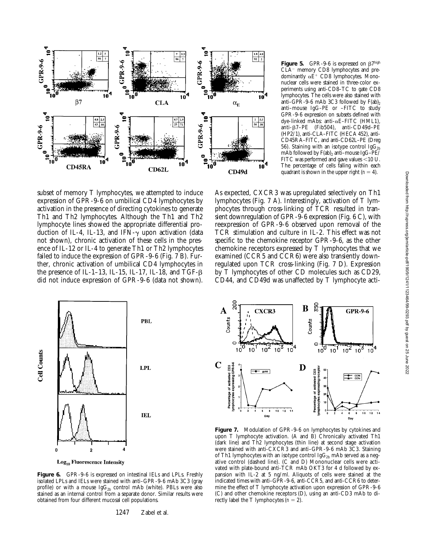

**Figure 5.** GPR-9-6 is expressed on  $\beta$ 7high CLA<sup>-</sup> memory CD8 lymphocytes and predominantly  $\alpha \check{E}^+$  CD8 lymphocytes. Mononuclear cells were stained in three-color experiments using anti-CD8–TC to gate CD8 lymphocytes. The cells were also stained with anti–GPR-9-6 mAb 3C3 followed by  $F(ab)$ <sub>2</sub> anti–mouse IgG–PE or –FITC to study GPR-9-6 expression on subsets defined with dye-linked mAbs: anti-aE–FITC (HML1), anti-b7–PE (Fib504), anti-CD49d–PE (HP2/1), anti-CLA–FITC (HECA 452), anti-CD45RA–FITC, and anti-CD62L–PE (Dreg 56). Staining with an isotype control  $\text{IgG}_{2\text{b}}$ mAb followed by  $F(ab)$ , anti-mouse IgG-PE/ FITC was performed and gave values  $<$  10 U. The percentage of cells falling within each quadrant is shown in the upper right  $(n = 4)$ .

subset of memory T lymphocytes, we attempted to induce expression of GPR-9-6 on umbilical CD4 lymphocytes by activation in the presence of directing cytokines to generate Th1 and Th2 lymphocytes. Although the Th1 and Th2 lymphocyte lines showed the appropriate differential production of IL-4, IL-13, and IFN- $\gamma$  upon activation (data not shown), chronic activation of these cells in the presence of IL-12 or IL-4 to generate Th1 or Th2 lymphocytes failed to induce the expression of GPR-9-6 (Fig. 7 B). Further, chronic activation of umbilical CD4 lymphocytes in the presence of IL-1–13, IL-15, IL-17, IL-18, and TGF- $\beta$ did not induce expression of GPR-9-6 (data not shown).





Figure 6. GPR-9-6 is expressed on intestinal IELs and LPLs. Freshly isolated LPLs and IELs were stained with anti–GPR-9-6 mAb 3C3 (gray profile) or with a mouse  $IgG_{2b}$  control mAb (white). PBLs were also stained as an internal control from a separate donor. Similar results were obtained from four different mucosal cell populations.

1247 Zabel et al.



Figure 7. Modulation of GPR-9-6 on lymphocytes by cytokines and upon T lymphocyte activation. (A and B) Chronically activated Th1 (dark line) and Th2 lymphocytes (thin line) at second stage activation were stained with anti-CXCR3 and anti–GPR-9-6 mAb 3C3. Staining of Th1 lymphocytes with an isotype control Ig $G_{2b}$  mAb served as a negative control (dashed line). (C and D) Mononuclear cells were activated with plate-bound anti-TCR mAb OKT3 for 4 d followed by expansion with IL-2 at 5 ng/ml. Aliquots of cells were stained at the indicated times with anti–GPR-9-6, anti-CCR5, and anti-CCR6 to determine the effect of T lymphocyte activation upon expression of GPR-9-6 (C) and other chemokine receptors (D), using an anti-CD3 mAb to directly label the T lymphocytes  $(n = 2)$ .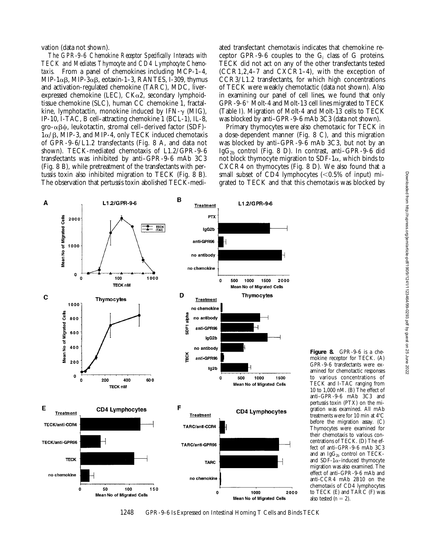vation (data not shown).

*The GPR-9-6 Chemokine Receptor Specifically Interacts with TECK and Mediates Thymocyte and CD4 Lymphocyte Chemotaxis.* From a panel of chemokines including MCP-1–4, MIP-1 $\alpha\beta$ , MIP-3 $\alpha\beta$ , eotaxin-1–3, RANTES, I-309, thymus and activation-regulated chemokine (TARC), MDC, liverexpressed chemokine (LEC),  $CK\alpha^2$ , secondary lymphoidtissue chemokine (SLC), human CC chemokine 1, fractalkine, lymphotactin, monokine induced by  $IFN-\gamma$  (MIG), IP-10, I-TAC, B cell–attracting chemokine 1 (BCL-1), IL-8,  $\alpha\beta\psi$ , leukotactin, stromal cell–derived factor (SDF)- $1\alpha/\beta$ , MIP-3, and MIP-4, only TECK induced chemotaxis of GPR-9-6/L1.2 transfectants (Fig. 8 A, and data not shown). TECK-mediated chemotaxis of L1.2/GPR-9-6 transfectants was inhibited by anti–GPR-9-6 mAb 3C3 (Fig. 8 B), while pretreatment of the transfectants with pertussis toxin also inhibited migration to TECK (Fig. 8 B). The observation that pertussis toxin abolished TECK-mediated transfectant chemotaxis indicates that chemokine receptor GPR-9-6 couples to the  $G_i$  class of G proteins. TECK did not act on any of the other transfectants tested  $(CCR1, 2, 4-7, and  $CXCR1-4$ ), with the exception of$ CCR3/L1.2 transfectants, for which high concentrations of TECK were weakly chemotactic (data not shown). Also in examining our panel of cell lines, we found that only  $GPR-9-6^+$  Molt-4 and Molt-13 cell lines migrated to TECK (Table I). Migration of Molt-4 and Molt-13 cells to TECK was blocked by anti–GPR-9-6 mAb 3C3 (data not shown).

Primary thymocytes were also chemotaxic for TECK in a dose-dependent manner (Fig. 8 C), and this migration was blocked by anti–GPR-9-6 mAb 3C3, but not by an Ig $G_{2b}$  control (Fig. 8 D). In contrast, anti-GPR-9-6 did not block thymocyte migration to SDF-1 $\alpha$ , which binds to CXCR4 on thymocytes (Fig. 8 D). We also found that a small subset of CD4 lymphocytes  $(<0.5\%$  of input) migrated to TECK and that this chemotaxis was blocked by



**Figure 8.** GPR-9-6 is a chemokine receptor for TECK. (A) GPR-9-6 transfectants were examined for chemotactic responses to various concentrations of TECK and I-TAC ranging from 10 to 1,000 nM. (B) The effect of anti–GPR-9-6 mAb 3C3 and pertussis toxin (PTX) on the migration was examined. All mAb treatments were for 10 min at  $4^{\circ}$ C before the migration assay. (C) Thymocytes were examined for their chemotaxis to various concentrations of TECK. (D) The effect of anti–GPR-9-6 mAb 3C3 and an IgG<sub>2b</sub> control on TECKand  $SDF-1\alpha$ -induced thymocyte migration was also examined. The effect of anti–GPR-9-6 mAb and anti-CCR4 mAb 2B10 on the chemotaxis of CD4 lymphocytes to TECK (E) and TARC (F) was also tested  $(n = 2)$ .

1248 GPR-9-6 Is Expressed on Intestinal Homing T Cells and Binds TECK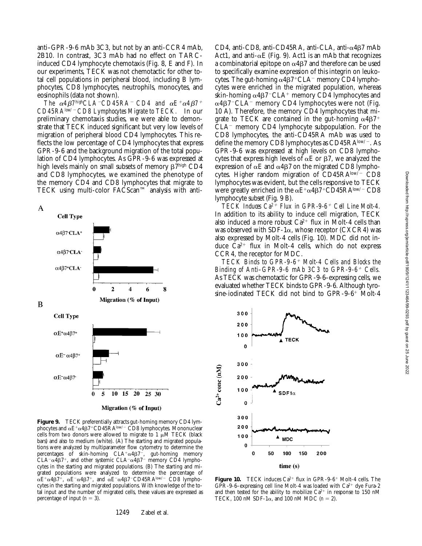anti–GPR-9-6 mAb 3C3, but not by an anti-CCR4 mAb, 2B10. In contrast, 3C3 mAb had no effect on TARCinduced CD4 lymphocyte chemotaxis (Fig. 8, E and F). In our experiments, TECK was not chemotactic for other total cell populations in peripheral blood, including B lymphocytes, CD8 lymphocytes, neutrophils, monocytes, and eosinophils (data not shown).

*The*  $\alpha$ *4B7highCLA<sup>-</sup>CD45RA<sup>-</sup>CD4 and*  $\alpha$ *E<sup>+</sup>* $\alpha$ *4B7<sup>+</sup> CD45RAlow/*2 *CD8 Lymphocytes Migrate to TECK.* In our preliminary chemotaxis studies, we were able to demonstrate that TECK induced significant but very low levels of migration of peripheral blood CD4 lymphocytes. This reflects the low percentage of CD4 lymphocytes that express GPR-9-6 and the background migration of the total population of CD4 lymphocytes. As GPR-9-6 was expressed at high levels mainly on small subsets of memory  $\beta \bar{7}^{\text{high}}$  CD4 and CD8 lymphocytes, we examined the phenotype of the memory CD4 and CD8 lymphocytes that migrate to TECK using multi-color FACScan™ analysis with anti-

 $\mathbf{A}$ **Cell Type**  $\alpha$ 4 $\beta$ 7 CLA<sup>+</sup>  $\alpha$ 487 CLA  $\alpha$ 487<sup>+</sup>CLA<sup>-</sup>  $\mathbf{0}$  $\overline{2}$ 4  $\bf8$ 6 Migration (% of Input) B **Cell Type**  $\alpha E^+\alpha 4\beta 7^+$  $\alpha E^- \alpha 4 \beta 7^+$  $\alpha E^{-} \alpha 4 \beta 7$ 10 15  $\overline{20}$ 5 25 30 Migration (% of Input)

**Figure 9.** TECK preferentially attracts gut-homing memory CD4 lymphocytes and  $\alpha E^+\alpha 4\beta 7$ <sup>+</sup>CD45RA<sup>low/-</sup> CD8 lymphocytes. Mononuclear cells from two donors were allowed to migrate to  $1 \mu M$  TECK (black bars) and also to medium (white). (A) The starting and migrated populations were analyzed by multiparameter flow cytometry to determine the percentages of skin-homing  $CLA^+\alpha 4\beta 7^-$ , gut-homing memory  $CLA^{-} \alpha 4\beta 7^{+}$ , and other systemic  $CLA^{-} \alpha 4\beta 7^{-}$  memory CD4 lymphocytes in the starting and migrated populations. (B) The starting and migrated populations were analyzed to determine the percentage of  $\alpha E^+ \alpha 4\beta 7^+$ ,  $\alpha E^- \alpha 4\beta 7^+$ , and  $\alpha E^- \alpha 4\beta 7^-$ CD45RAlow/- CD8 lymphocytes in the starting and migrated populations. With knowledge of the total input and the number of migrated cells, these values are expressed as percentage of input  $(n = 3)$ .

CD4, anti-CD8, anti-CD45RA, anti-CLA, anti- $\alpha$ 4 $\beta$ 7 mAb Act1, and anti- $\alpha$ E (Fig. 9). Act1 is an mAb that recognizes a combinatorial epitope on  $\alpha$ 4 $\beta$ 7 and therefore can be used to specifically examine expression of this integrin on leukocytes. The gut-homing  $\alpha$ 4 $\beta$ 7+CLA<sup>-</sup> memory CD4 lymphocytes were enriched in the migrated population, whereas skin-homing  $\alpha$ 4 $\beta$ 7<sup>-</sup>CLA<sup>+</sup> memory CD4 lymphocytes and  $\alpha$ 4 $\beta$ 7<sup>-</sup>CLA<sup>-</sup> memory CD4 lymphocytes were not (Fig. 10 A). Therefore, the memory CD4 lymphocytes that migrate to TECK are contained in the gut-homing  $\alpha$ 4 $\beta$ 7<sup>+</sup>  $CLA<sup>-</sup>$  memory  $CD4$  lymphocyte subpopulation. For the CD8 lymphocytes, the anti-CD45RA mAb was used to define the memory CD8 lymphocytes as  $CD45RA^{\text{low}-}$ . As GPR-9-6 was expressed at high levels on CD8 lymphocytes that express high levels of  $\alpha E$  or  $\beta$ 7, we analyzed the expression of  $\alpha$ E and  $\alpha$ 4 $\beta$ 7 on the migrated CD8 lymphocytes. Higher random migration of  $CD45RA$ low/-  $CD8$ lymphocytes was evident, but the cells responsive to TECK were greatly enriched in the  $\alpha E^+ \alpha 4\beta 7^+$ CD45RAlow/- CD8 lymphocyte subset (Fig. 9 B).

*TECK Induces Ca2*1 *Flux in GPR-9-6*1 *Cell Line Molt-4.* In addition to its ability to induce cell migration, TECK also induced a more robust  $Ca^{2+}$  flux in Molt-4 cells than was observed with SDF-1 $\alpha$ , whose receptor (CXCR4) was also expressed by Molt-4 cells (Fig. 10). MDC did not induce  $\bar{C}a^{2+}$  flux in Molt-4 cells, which do not express CCR4, the receptor for MDC.

*TECK Binds to GPR-9-6*1 *Molt-4 Cells and Blocks the Binding of Anti-GPR-9-6 mAb 3C3 to GPR-9-6<sup>+</sup> Cells.* As TECK was chemotactic for GPR-9-6–expressing cells, we evaluated whether TECK binds to GPR-9-6. Although tyrosine-iodinated TECK did not bind to  $GPR-9-6^+$  Molt-4



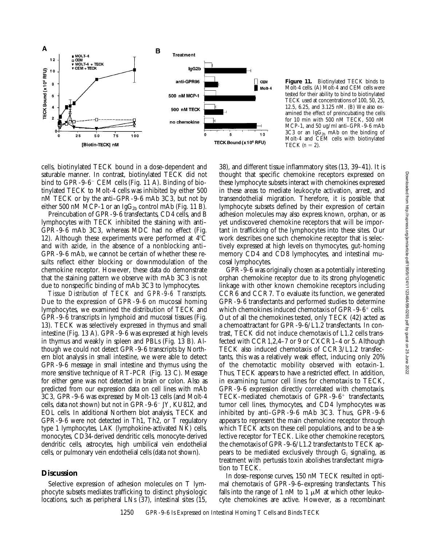

**Figure 11.** Biotinylated TECK binds to Molt-4 cells. (A) Molt-4 and CEM cells were tested for their ability to bind to biotinylated TECK used at concentrations of 100, 50, 25, 12.5, 6.25, and 3.125 nM. (B) We also examined the effect of preincubating the cells for 10 min with 500 nM TECK, 500 nM MCP-1, and 50 ug/ml anti–GPR-9-6 mAb  $3C3$  or an Ig $G_{2b}$  mAb on the binding of Molt-4 and CEM cells with biotinylated TECK  $(n = 2)$ .

cells, biotinylated TECK bound in a dose-dependent and saturable manner. In contrast, biotinylated TECK did not bind to  $GPR-9-6$ <sup>-</sup> CEM cells (Fig. 11 A). Binding of biotinylated TECK to Molt-4 cells was inhibited by either 500 nM TECK or by the anti–GPR-9-6 mAb 3C3, but not by either 500 nM MCP-1 or an Ig $G_{2b}$  control mAb (Fig. 11 B).

Preincubation of GPR-9-6 transfectants, CD4 cells, and B lymphocytes with TECK inhibited the staining with anti– GPR-9-6 mAb 3C3, whereas MDC had no effect (Fig. 12). Although these experiments were performed at  $4^{\circ}C$ and with azide, in the absence of a nonblocking anti– GPR-9-6 mAb, we cannot be certain of whether these results reflect either blocking or downmodulation of the chemokine receptor. However, these data do demonstrate that the staining pattern we observe with mAb 3C3 is not due to nonspecific binding of mAb 3C3 to lymphocytes.

*Tissue Distribution of TECK and GPR-9-6 Transcripts.* Due to the expression of GPR-9-6 on mucosal homing lymphocytes, we examined the distribution of TECK and GPR-9-6 transcripts in lymphoid and mucosal tissues (Fig. 13). TECK was selectively expressed in thymus and small intestine (Fig. 13 A). GPR-9-6 was expressed at high levels in thymus and weakly in spleen and PBLs (Fig. 13 B). Although we could not detect GPR-9-6 transcripts by Northern blot analysis in small intestine, we were able to detect GPR-9-6 message in small intestine and thymus using the more sensitive technique of RT-PCR (Fig. 13 C). Message for either gene was not detected in brain or colon. Also as predicted from our expression data on cell lines with mAb 3C3, GPR-9-6 was expressed by Molt-13 cells (and Molt-4 cells, data not shown) but not in GPR-9-6<sup>-</sup> JY, KU812, and EOL cells. In additional Northern blot analysis, TECK and GPR-9-6 were not detected in Th1, Th2, or T regulatory type 1 lymphocytes, LAK (lymphokine-activated NK) cells, monocytes, CD34-derived dendritic cells, monocyte-derived dendritic cells, astrocytes, high umbilical vein endothelial cells, or pulmonary vein endothelial cells (data not shown).

## **Discussion**

Selective expression of adhesion molecules on T lymphocyte subsets mediates trafficking to distinct physiologic locations, such as peripheral LNs (37), intestinal sites (15,

38), and different tissue inflammatory sites (13, 39–41). It is thought that specific chemokine receptors expressed on these lymphocyte subsets interact with chemokines expressed in these areas to mediate leukocyte activation, arrest, and transendothelial migration. Therefore, it is possible that lymphocyte subsets defined by their expression of certain adhesion molecules may also express known, orphan, or as yet undiscovered chemokine receptors that will be important in trafficking of the lymphocytes into these sites. Our work describes one such chemokine receptor that is selectively expressed at high levels on thymocytes, gut-homing memory CD4 and CD8 lymphocytes, and intestinal mucosal lymphocytes.

GPR-9-6 was originally chosen as a potentially interesting orphan chemokine receptor due to its strong phylogenetic linkage with other known chemokine receptors including CCR6 and CCR7. To evaluate its function, we generated GPR-9-6 transfectants and performed studies to determine which chemokines induced chemotaxis of GPR-9-6<sup>+</sup> cells. Out of all the chemokines tested, only TECK (42) acted as a chemoattractant for GPR-9-6/L1.2 transfectants. In contrast, TECK did not induce chemotaxis of L1.2 cells transfected with CCR1,2,4–7 or 9 or CXCR1–4 or 5. Although TECK also induced chemotaxis of CCR3/L1.2 transfectants, this was a relatively weak effect, inducing only 20% of the chemotactic mobility observed with eotaxin-1. Thus, TECK appears to have a restricted effect. In addition, in examining tumor cell lines for chemotaxis to TECK, GPR-9-6 expression directly correlated with chemotaxis. TECK-mediated chemotaxis of  $GPR-9-6^+$  transfectants, tumor cell lines, thymocytes, and CD4 lymphocytes was inhibited by anti–GPR-9-6 mAb 3C3. Thus, GPR-9-6 appears to represent the main chemokine receptor through which TECK acts on these cell populations, and to be a selective receptor for TECK. Like other chemokine receptors, the chemotaxis of GPR-9-6/L1.2 transfectants to TECK appears to be mediated exclusively through  $G_i$  signaling, as treatment with pertussis toxin abolishes transfectant migration to TECK.

In dose–response curves, 150 nM TECK resulted in optimal chemotaxis of GPR-9-6–expressing transfectants. This falls into the range of 1 nM to 1  $\mu$ M at which other leukocyte chemokines are active. However, as a recombinant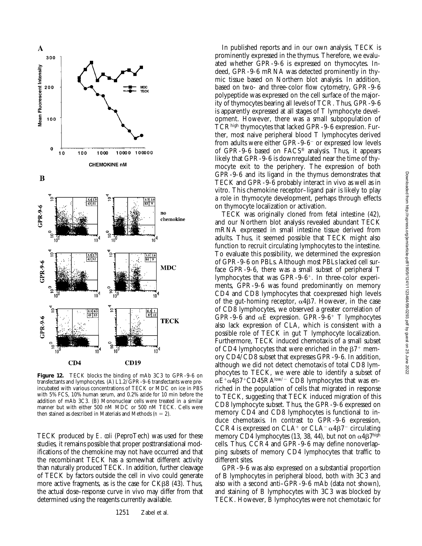Downloaded from http://rupress.org/jem/article-pdf/190/9/1241/1123464/99-0293.pdf by guest on 25 June 2022

Downloaded from http://rupress.org/jem/article-pdf/190/9/1241/123464/99-0293.pdf by guest on 25 June 2022



**Figure 12.** TECK blocks the binding of mAb 3C3 to GPR-9-6 on transfectants and lymphocytes. (A) L1.2/GPR-9-6 transfectants were preincubated with various concentrations of TECK or MDC on ice in PBS with 5% FCS, 10% human serum, and 0.2% azide for 10 min before the addition of mAb 3C3. (B) Mononuclear cells were treated in a similar manner but with either 500 nM MDC or 500 nM TECK. Cells were then stained as described in Materials and Methods  $(n = 2)$ .

TECK produced by *E*. *coli* (PeproTech) was used for these studies, it remains possible that proper posttranslational modifications of the chemokine may not have occurred and that the recombinant TECK has a somewhat different activity than naturally produced TECK. In addition, further cleavage of TECK by factors outside the cell in vivo could generate more active fragments, as is the case for  $CK\beta8$  (43). Thus, the actual dose–response curve in vivo may differ from that determined using the reagents currently available.

1251 Zabel et al.

In published reports and in our own analysis, TECK is prominently expressed in the thymus. Therefore, we evaluated whether GPR-9-6 is expressed on thymocytes. Indeed, GPR-9-6 mRNA was detected prominently in thymic tissue based on Northern blot analysis. In addition, based on two- and three-color flow cytometry, GPR-9-6 polypeptide was expressed on the cell surface of the majority of thymocytes bearing all levels of TCR. Thus, GPR-9-6 is apparently expressed at all stages of T lymphocyte development. However, there was a small subpopulation of TCRhigh thymocytes that lacked GPR-9-6 expression. Further, most naive peripheral blood T lymphocytes derived from adults were either GPR-9-6<sup>-</sup> or expressed low levels of GPR-9-6 based on FACS® analysis. Thus, it appears likely that GPR-9-6 is downregulated near the time of thymocyte exit to the periphery. The expression of both GPR-9-6 and its ligand in the thymus demonstrates that TECK and GPR-9-6 probably interact in vivo as well as in vitro. This chemokine receptor–ligand pair is likely to play a role in thymocyte development, perhaps through effects on thymocyte localization or activation.

TECK was originally cloned from fetal intestine (42), and our Northern blot analysis revealed abundant TECK mRNA expressed in small intestine tissue derived from adults. Thus, it seemed possible that TECK might also function to recruit circulating lymphocytes to the intestine. To evaluate this possibility, we determined the expression of GPR-9-6 on PBLs. Although most PBLs lacked cell surface GPR-9-6, there was a small subset of peripheral T lymphocytes that was  $GPR-9-6^+$ . In three-color experiments, GPR-9-6 was found predominantly on memory CD4 and CD8 lymphocytes that coexpressed high levels of the gut-homing receptor,  $\alpha$ 4 $\beta$ 7. However, in the case of CD8 lymphocytes, we observed a greater correlation of GPR-9-6 and  $\alpha$ E expression. GPR-9-6<sup>+</sup> T lymphocytes also lack expression of CLA, which is consistent with a possible role of TECK in gut T lymphocyte localization. Furthermore, TECK induced chemotaxis of a small subset of CD4 lymphocytes that were enriched in the  $\beta$ <sup>+</sup> memory CD4/CD8 subset that expresses GPR-9-6. In addition, although we did not detect chemotaxis of total CD8 lymphocytes to TECK, we were able to identify a subset of  $\alpha E^+ \alpha 4\beta 7^+ C D 45 R A^{\text{low}-} C D 8$  lymphocytes that was enriched in the population of cells that migrated in response to TECK, suggesting that TECK induced migration of this CD8 lymphocyte subset. Thus, the GPR-9-6 expressed on memory CD4 and CD8 lymphocytes is functional to induce chemotaxis. In contrast to GPR-9-6 expression, CCR4 is expressed on CLA<sup>+</sup> or CLA<sup>-</sup>  $\alpha$ 4 $\beta$ 7<sup>-</sup> circulating memory CD4 lymphocytes (13, 38, 44), but not on  $\alpha$ 4 $\beta$ 7high cells. Thus, CCR4 and GPR-9-6 may define nonoverlapping subsets of memory CD4 lymphocytes that traffic to different sites.

GPR-9-6 was also expressed on a substantial proportion of B lymphocytes in peripheral blood, both with 3C3 and also with a second anti–GPR-9-6 mAb (data not shown), and staining of B lymphocytes with 3C3 was blocked by TECK. However, B lymphocytes were not chemotaxic for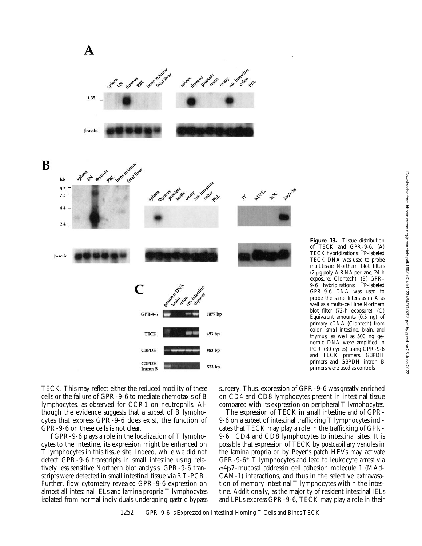

**Figure 13.** Tissue distribution of TECK and GPR-9-6. (A) TECK hybridizations: 32P-labeled TECK DNA was used to probe multitissue Northern blot filters (2 mg poly-A RNA per lane, 24-h exposure; Clontech). (B) GPR-9-6 hybridizations: 32P-labeled GPR-9-6 DNA was used to probe the same filters as in A as well as a multi-cell line Northern blot filter (72-h exposure). (C) Equivalent amounts (0.5 ng) of primary cDNA (Clontech) from colon, small intestine, brain, and thymus, as well as 500 ng genomic DNA were amplified in PCR (30 cycles) using GPR-9-6 and TECK primers. G3PDH primers and G3PDH intron B primers were used as controls.

TECK. This may reflect either the reduced motility of these cells or the failure of GPR-9-6 to mediate chemotaxis of B lymphocytes, as observed for CCR1 on neutrophils. Although the evidence suggests that a subset of B lymphocytes that express GPR-9-6 does exist, the function of GPR-9-6 on these cells is not clear.

If GPR-9-6 plays a role in the localization of T lymphocytes to the intestine, its expression might be enhanced on T lymphocytes in this tissue site. Indeed, while we did not detect GPR-9-6 transcripts in small intestine using relatively less sensitive Northern blot analysis, GPR-9-6 transcripts were detected in small intestinal tissue via RT-PCR. Further, flow cytometry revealed GPR-9-6 expression on almost all intestinal IELs and lamina propria T lymphocytes isolated from normal individuals undergoing gastric bypass surgery. Thus, expression of GPR-9-6 was greatly enriched on CD4 and CD8 lymphocytes present in intestinal tissue compared with its expression on peripheral T lymphocytes.

The expression of TECK in small intestine and of GPR-9-6 on a subset of intestinal trafficking T lymphocytes indicates that TECK may play a role in the trafficking of GPR- $9-6$ <sup>+</sup> CD4 and CD8 lymphocytes to intestinal sites. It is possible that expression of TECK by postcapillary venules in the lamina propria or by Peyer's patch HEVs may activate  $GPR-9-6$ <sup>+</sup> T lymphocytes and lead to leukocyte arrest via  $\alpha$ 4 $\beta$ 7–mucosal addressin cell adhesion molecule 1 (MAd-CAM-1) interactions, and thus in the selective extravasation of memory intestinal T lymphocytes within the intestine. Additionally, as the majority of resident intestinal IELs and LPLs express GPR-9-6, TECK may play a role in their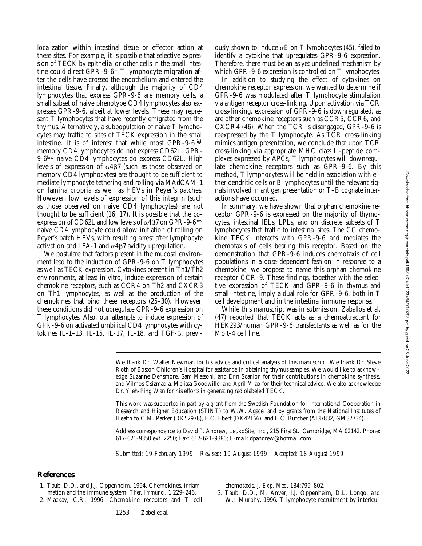localization within intestinal tissue or effector action at these sites. For example, it is possible that selective expression of TECK by epithelial or other cells in the small intestine could direct GPR-9-6<sup>+</sup> T lymphocyte migration after the cells have crossed the endothelium and entered the intestinal tissue. Finally, although the majority of CD4 lymphocytes that express GPR-9-6 are memory cells, a small subset of naive phenotype CD4 lymphocytes also expresses GPR-9-6, albeit at lower levels. These may represent T lymphocytes that have recently emigrated from the thymus. Alternatively, a subpopulation of naive T lymphocytes may traffic to sites of TECK expression in the small intestine. It is of interest that while most GPR-9-6high memory CD4 lymphocytes do not express CD62L, GPR-9-6low naive CD4 lymphocytes do express CD62L. High levels of expression of  $\alpha$ 4 $\beta$ 7 (such as those observed on memory CD4 lymphocytes) are thought to be sufficient to mediate lymphocyte tethering and rolling via MAdCAM-1 on lamina propria as well as HEVs in Peyer's patches. However, low levels of expression of this integrin (such as those observed on naive CD4 lymphocytes) are not thought to be sufficient (16, 17). It is possible that the coexpression of CD62L and low levels of  $\alpha$ 4 $\beta$ 7 on GPR-9-6<sup>low</sup> naive CD4 lymphocyte could allow initiation of rolling on Peyer's patch HEVs, with resulting arrest after lymphocyte activation and LFA-1 and  $\alpha$ 4 $\beta$ 7 avidity upregulation.

We postulate that factors present in the mucosal environment lead to the induction of GPR-9-6 on T lymphocytes as well as TECK expression. Cytokines present in Th1/Th2 environments, at least in vitro, induce expression of certain chemokine receptors, such as CCR4 on Th2 and CXCR3 on Th1 lymphocytes, as well as the production of the chemokines that bind these receptors (25–30). However, these conditions did not upregulate GPR-9-6 expression on T lymphocytes. Also, our attempts to induce expression of GPR-9-6 on activated umbilical CD4 lymphocytes with cytokines IL-1-13, IL-15, IL-17, IL-18, and TGF-β, previously shown to induce  $\alpha E$  on T lymphocytes (45), failed to identify a cytokine that upregulates GPR-9-6 expression. Therefore, there must be an as yet undefined mechanism by which GPR-9-6 expression is controlled on T lymphocytes.

In addition to studying the effect of cytokines on chemokine receptor expression, we wanted to determine if GPR-9-6 was modulated after T lymphocyte stimulation via antigen receptor cross-linking. Upon activation via TCR cross-linking, expression of GPR-9-6 is downregulated, as are other chemokine receptors such as CCR5, CCR6, and CXCR4 (46). When the TCR is disengaged, GPR-9-6 is reexpressed by the T lymphocyte. As TCR cross-linking mimics antigen presentation, we conclude that upon TCR cross-linking via appropriate MHC class II–peptide complexes expressed by APCs, T lymphocytes will downregulate chemokine receptors such as GPR-9-6. By this method, T lymphocytes will be held in association with either dendritic cells or B lymphocytes until the relevant signals involved in antigen presentation or T–B cognate interactions have occurred.

In summary, we have shown that orphan chemokine receptor GPR-9-6 is expressed on the majority of thymocytes, intestinal IELs, LPLs, and on discrete subsets of T lymphocytes that traffic to intestinal sites. The CC chemokine TECK interacts with GPR-9-6 and mediates the chemotaxis of cells bearing this receptor. Based on the demonstration that GPR-9-6 induces chemotaxis of cell populations in a dose-dependent fashion in response to a chemokine, we propose to name this orphan chemokine receptor CCR-9. These findings, together with the selective expression of TECK and GPR-9-6 in thymus and small intestine, imply a dual role for GPR-9-6, both in T cell development and in the intestinal immune response.

While this manuscript was in submission, Zaballos et al. (47) reported that TECK acts as a chemoattractant for HEK293/human GPR-9-6 transfectants as well as for the Molt-4 cell line.

We thank Dr. Walter Newman for his advice and critical analysis of this manuscript. We thank Dr. Steve Roth of Boston Children's Hospital for assistance in obtaining thymus samples. We would like to acknowledge Suzanne Densmore, Sam Massoni, and Erin Scanlon for their contributions in chemokine synthesis, and Vilmos Csizmadia, Melissa Goodwille, and April Miao for their technical advice. We also acknowledge Dr. Yieh-Ping Wan for his efforts in generating radiolabeled TECK.

This work was supported in part by a grant from the Swedish Foundation for International Cooperation in Research and Higher Education (STINT) to W.W. Agace, and by grants from the National Institutes of Health to C.M. Parker (DK52978), E.C. Ebert (DK42166), and E.C. Butcher (AI37832, GM37734).

Address correspondence to David P. Andrew, LeukoSite, Inc., 215 First St., Cambridge, MA 02142. Phone: 617-621-9350 ext. 2250; Fax: 617-621-9380; E-mail: dpandrew@hotmail.com

*Submitted: 19 February 1999 Revised: 10 August 1999 Accepted: 18 August 1999*

## **References**

- 1. Taub, D.D., and J.J. Oppenheim. 1994. Chemokines, inflammation and the immune system. *Ther. Immunol*. 1:229–246.
- 2. Mackay, C.R. 1996. Chemokine receptors and T cell

chemotaxis. *J. Exp. Med*. 184:799–802.

3. Taub, D.D., M. Anver, J.J. Oppenheim, D.L. Longo, and W.J. Murphy. 1996. T lymphocyte recruitment by interleu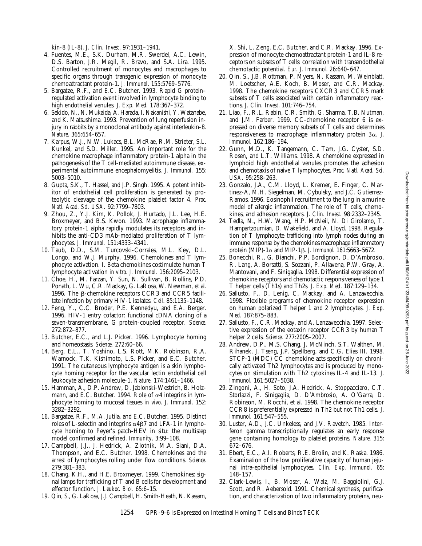kin-8 (IL-8). *J. Clin. Invest*. 97:1931–1941.

- 4. Fuentes, M.E., S.K. Durham, M.R. Swerdel, A.C. Lewin, D.S. Barton, J.R. Megil, R. Bravo, and S.A. Lira. 1995. Controlled recruitment of monocytes and macrophages to specific organs through transgenic expression of monocyte chemoattractant protein-1. *J. Immunol*. 155:5769–5776.
- 5. Bargatze, R.F., and E.C. Butcher. 1993. Rapid G protein– regulated activation event involved in lymphocyte binding to high endothelial venules. *J. Exp. Med.* 178:367–372.
- 6. Sekido, N., N. Mukaida, A. Harada, I. Nakanishi, Y. Watanabe, and K. Matsushima. 1993. Prevention of lung reperfusion injury in rabbits by a monoclonal antibody against interleukin-8. *Nature*. 365:654–657.
- 7. Karpus, W.J., N.W. Lukacs, B.L. McRae, R.M. Strieter, S.L. Kunkel, and S.D. Miller. 1995. An important role for the chemokine macrophage inflammatory protein-1 alpha in the pathogenesis of the T cell-mediated autoimmune disease, experimental autoimmune encephalomyelitis. *J. Immunol.* 155: 5003–5010.
- 8. Gupta, S.K., T. Hassel, and J.P. Singh. 1995. A potent inhibitor of endothelial cell proliferation is generated by proteolytic cleavage of the chemokine platelet factor 4. *Proc. Natl. Acad. Sci. USA.* 92:7799–7803.
- 9. Zhou, Z., Y.J. Kim, K. Pollok, J. Hurtado, J.L. Lee, H.E. Broxmeyer, and B.S. Kwon. 1993. Macrophage inflammatory protein-1 alpha rapidly modulates its receptors and inhibits the anti-CD3 mAb-mediated proliferation of T lymphocytes. *J. Immunol.* 151:4333–4341.
- 10. Taub, D.D., S.M. Turcovski-Corrales, M.L. Key, D.L. Longo, and W.J. Murphy. 1996. Chemokines and T lymphocyte activation. I. Beta chemokines costimulate human T lymphocyte activation *in vitro*. *J. Immunol.* 156:2095–2103.
- 11. Choe, H., M. Farzan, Y. Sun, N. Sullivan, B. Rollins, P.D. Ponath, L. Wu, C.R. Mackay, G. LaRosa, W. Newman, et al. 1996. The  $\beta$ -chemokine receptors CCR3 and CCR5 facilitate infection by primary HIV-1 isolates. *Cell*. 85:1135–1148.
- 12. Feng, Y., C.C. Broder, P.E. Kennedyu, and E.A. Berger. 1996. HIV-1 entry cofactor: functional cDNA cloning of a seven-transmembrane, G protein-coupled receptor. *Science*. 272:872–877.
- 13. Butcher, E.C., and L.J. Picker. 1996. Lymphocyte homing and homeostasis. *Science.* 272:60–66.
- 14. Berg, E.L., T. Yoshino, L.S. Rott, M.K. Robinson, R.A. Warnock, T.K. Kishimoto, L.S. Picker, and E.C. Butcher. 1991. The cutaneous lymphocyte antigen is a skin lymphocyte homing receptor for the vascular lectin endothelial cell leukocyte adhesion molecule-1. *Nature*. 174:1461–1466.
- 15. Hamman, A., D.P. Andrew, D. Jablonski-Westrich, B. Holzmann, and E.C. Butcher. 1994. Role of  $\alpha$ 4 integrins in lymphocyte homing to mucosal tissues *in vivo*. *J. Immunol*. 152: 3282–3292.
- 16. Bargatze, R.F., M.A. Jutila, and E.C. Butcher. 1995. Distinct roles of L-selectin and integrins  $\alpha$ 4 $\beta$ 7 and LFA-1 in lymphocyte homing to Peyer's patch-HEV in situ: the multistep model confirmed and refined. *Immunity*. 3:99–108.
- 17. Campbell, J.J., J. Hedrick, A. Zlotnik, M.A. Siani, D.A. Thompson, and E.C. Butcher. 1998. Chemokines and the arrest of lymphocytes rolling under flow conditions. *Science.* 279:381–383.
- 18. Chang, K.H., and H.E. Broxmeyer. 1999. Chemokines: signal lamps for trafficking of T and B cells for development and effector function. *J. Leukoc. Biol*. 65:6–15*.*
- 19. Qin, S., G. LaRosa, J.J. Campbell, H. Smith-Heath, N. Kassam,

X. Shi, L. Zeng, E.C. Butcher, and C.R. Mackay. 1996. Expression of monocyte chemoattractant protein-1 and IL-8 receptors on subsets of T cells: correlation with transendothelial chemotactic potential. *Eur. J. Immunol*. 26:640–647.

- 20. Qin, S., J.B. Rottman, P. Myers, N. Kassam, M. Weinblatt, M. Loetscher, A.E. Koch, B. Moser, and C.R. Mackay. 1998. The chemokine receptors CXCR3 and CCR5 mark subsets of T cells associated with certain inflammatory reactions. *J. Clin. Invest*. 101:746–754.
- 21. Liao, F., R.L. Rabin, C.R. Smith, G. Sharma, T.B. Nutman, and J.M. Farber. 1999. CC-chemokine receptor 6 is expressed on diverse memory subsets of T cells and determines responsiveness to macrophage inflammatory protein  $3\alpha$ . *J. Immunol.* 162:186–194.
- 22. Gunn, M.D., K. Tangemann, C. Tam, J.G. Cyster, S.D. Rosen, and L.T. Williams. 1998. A chemokine expressed in lymphoid high endothelial venules promotes the adhesion and chemotaxis of naive T lymphocytes. *Proc. Natl. Acad. Sci. USA.* 95:258–263.
- 23. Gonzalo, J.A., C.M. Lloyd, L. Kremer, E. Finger, C. Martinez-A, M.H. Siegelman, M. Cybulsky, and J.C. Gutierrez-Ramos. 1996. Eosinophil recruitment to the lung in a murine model of allergic inflammation. The role of T cells, chemokines, and adhesion receptors. *J. Clin. Invest.* 98:2332–2345.
- 24. Tedla, N., H.W. Wang, H.P. McNeil, N. Di Girolamo, T. Hampartzoumian, D. Wakefield, and A. Lloyd. 1998. Regulation of T lymphocyte trafficking into lymph nodes during an immune response by the chemokines macrophage inflammatory protein (MIP)-1 $\alpha$  and MIP-1 $\beta$ . *J. Immunol.* 161:5663-5672.
- 25. Bonecchi, R., G. Bianchi, P.P. Bordignon, D. D'Ambrosio, R. Lang, A. Borsatti, S. Sozzani, P. Allavena, P.W. Gray, A. Mantovani, and F. Sinigaglia. 1998. Differential expression of chemokine receptors and chemotactic responsiveness of type 1 T helper cells (Th1s) and Th2s. *J. Exp. Med*. 187:129–134.
- 26. Sallusto, F., D. Lenig, C. Mackay, and A. Lanzavecchia. 1998. Flexible programs of chemokine receptor expression on human polarized T helper 1 and 2 lymphocytes. *J. Exp. Med.* 187:875–883.
- 27. Sallusto, F., C.R. Mackay, and A. Lanzavecchia. 1997. Selective expression of the eotaxin receptor CCR3 by human T helper 2 cells. *Science.* 277:2005–2007.
- 28. Andrew, D.P., M.S. Chang, J. McNinch, S.T. Walthen, M. Rihanek, J. Tseng, J.P. Spellberg, and C.G. Elias III. 1998. STCP-1 (MDC) CC chemokine acts specifically on chronically activated Th2 lymphocytes and is produced by monocytes on stimulation with Th2 cytokines IL-4 and IL-13. *J. Immunol.* 161:5027–5038.
- 29. Zingoni, A., H. Soto, J.A. Hedrick, A. Stoppacciaro, C.T. Storlazzi, F. Sinigaglia, D. D'Ambrosio, A. O'Garra, D. Robinson, M. Rocchi, et al. 1998. The chemokine receptor CCR8 is preferentially expressed in Th2 but not Th1 cells. *J. Immunol.* 161:547–555.
- 30. Luster, A.D., J.C. Unkeless, and J.V. Ravetch. 1985. Interferon gamma transcriptionally regulates an early response gene containing homology to platelet proteins. *Nature*. 315: 672–676.
- 31. Ebert, E.C., A.I. Roberts, R.E. Brolin, and K. Raska. 1986. Examination of the low proliferative capacity of human jejunal intra-epithelial lymphocytes. *Clin. Exp. Immunol.* 65: 148–157.
- 32. Clark-Lewis, I., B. Moser, A. Walz, M. Baggiolini, G.J. Scott, and R. Aebersold. 1991. Chemical synthesis, purification, and characterization of two inflammatory proteins, neu-